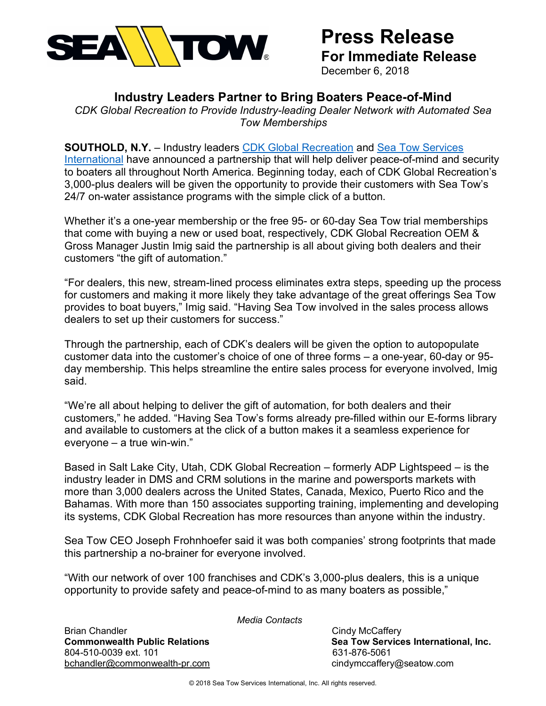

# **Press Release For Immediate Release**

December 6, 2018

# **Industry Leaders Partner to Bring Boaters Peace-of-Mind**

*CDK Global Recreation to Provide Industry-leading Dealer Network with Automated Sea Tow Memberships*

# **SOUTHOLD, N.Y.** – Industry leaders CDK Global Recreation and Sea Tow Services

International have announced a partnership that will help deliver peace-of-mind and security to boaters all throughout North America. Beginning today, each of CDK Global Recreation's 3,000-plus dealers will be given the opportunity to provide their customers with Sea Tow's 24/7 on-water assistance programs with the simple click of a button.

Whether it's a one-year membership or the free 95- or 60-day Sea Tow trial memberships that come with buying a new or used boat, respectively, CDK Global Recreation OEM & Gross Manager Justin Imig said the partnership is all about giving both dealers and their customers "the gift of automation."

"For dealers, this new, stream-lined process eliminates extra steps, speeding up the process for customers and making it more likely they take advantage of the great offerings Sea Tow provides to boat buyers," Imig said. "Having Sea Tow involved in the sales process allows dealers to set up their customers for success."

Through the partnership, each of CDK's dealers will be given the option to autopopulate customer data into the customer's choice of one of three forms – a one-year, 60-day or 95 day membership. This helps streamline the entire sales process for everyone involved, Imig said.

"We're all about helping to deliver the gift of automation, for both dealers and their customers," he added. "Having Sea Tow's forms already pre-filled within our E-forms library and available to customers at the click of a button makes it a seamless experience for everyone – a true win-win."

Based in Salt Lake City, Utah, CDK Global Recreation – formerly ADP Lightspeed – is the industry leader in DMS and CRM solutions in the marine and powersports markets with more than 3,000 dealers across the United States, Canada, Mexico, Puerto Rico and the Bahamas. With more than 150 associates supporting training, implementing and developing its systems, CDK Global Recreation has more resources than anyone within the industry.

Sea Tow CEO Joseph Frohnhoefer said it was both companies' strong footprints that made this partnership a no-brainer for everyone involved.

"With our network of over 100 franchises and CDK's 3,000-plus dealers, this is a unique opportunity to provide safety and peace-of-mind to as many boaters as possible,"

*Media Contacts*

Brian Chandler **Contract Cindy McCaffery Cindy McCaffery Commonwealth Public Relations Sea Tow Services International, Inc.** Sea Tow Services International, Inc. 804-510-0039 ext. 101 and the state of the state of the state of the state of the state of the state of the st bchandler@commonwealth-pr.com cindymccaffery@seatow.com